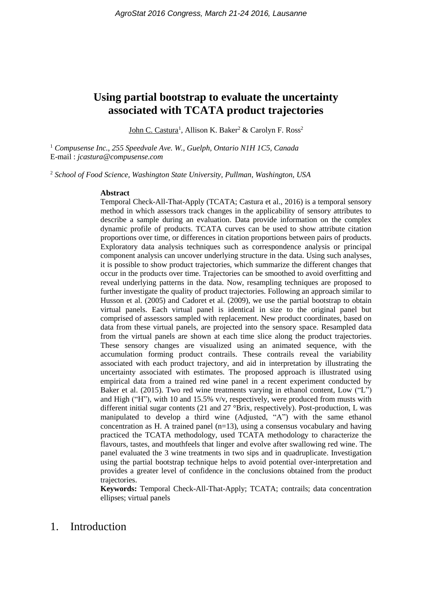# **Using partial bootstrap to evaluate the uncertainty associated with TCATA product trajectories**

John C. Castura<sup>1</sup>, Allison K. Baker<sup>2</sup> & Carolyn F. Ross<sup>2</sup>

<sup>1</sup> *Compusense Inc., 255 Speedvale Ave. W., Guelph, Ontario N1H 1C5, Canada* E-mail : *jcastura@compusense.com*

<sup>2</sup> *School of Food Science, Washington State University, Pullman, Washington, USA*

#### **Abstract**

Temporal Check-All-That-Apply (TCATA; Castura et al., 2016) is a temporal sensory method in which assessors track changes in the applicability of sensory attributes to describe a sample during an evaluation. Data provide information on the complex dynamic profile of products. TCATA curves can be used to show attribute citation proportions over time, or differences in citation proportions between pairs of products. Exploratory data analysis techniques such as correspondence analysis or principal component analysis can uncover underlying structure in the data. Using such analyses, it is possible to show product trajectories, which summarize the different changes that occur in the products over time. Trajectories can be smoothed to avoid overfitting and reveal underlying patterns in the data. Now, resampling techniques are proposed to further investigate the quality of product trajectories. Following an approach similar to Husson et al. (2005) and Cadoret et al. (2009), we use the partial bootstrap to obtain virtual panels. Each virtual panel is identical in size to the original panel but comprised of assessors sampled with replacement. New product coordinates, based on data from these virtual panels, are projected into the sensory space. Resampled data from the virtual panels are shown at each time slice along the product trajectories. These sensory changes are visualized using an animated sequence, with the accumulation forming product contrails. These contrails reveal the variability associated with each product trajectory, and aid in interpretation by illustrating the uncertainty associated with estimates. The proposed approach is illustrated using empirical data from a trained red wine panel in a recent experiment conducted by Baker et al. (2015). Two red wine treatments varying in ethanol content, Low ("L") and High ("H"), with 10 and 15.5% v/v, respectively, were produced from musts with different initial sugar contents (21 and 27 °Brix, respectively). Post-production, L was manipulated to develop a third wine (Adjusted, "A") with the same ethanol concentration as H. A trained panel  $(n=13)$ , using a consensus vocabulary and having practiced the TCATA methodology, used TCATA methodology to characterize the flavours, tastes, and mouthfeels that linger and evolve after swallowing red wine. The panel evaluated the 3 wine treatments in two sips and in quadruplicate. Investigation using the partial bootstrap technique helps to avoid potential over-interpretation and provides a greater level of confidence in the conclusions obtained from the product trajectories.

**Keywords:** Temporal Check-All-That-Apply; TCATA; contrails; data concentration ellipses; virtual panels

### 1. Introduction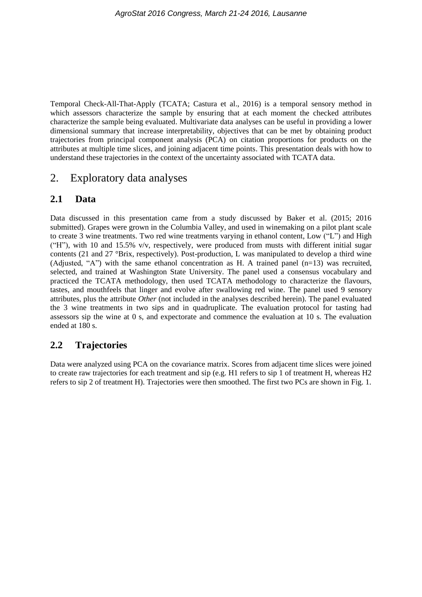Temporal Check-All-That-Apply (TCATA; Castura et al., 2016) is a temporal sensory method in which assessors characterize the sample by ensuring that at each moment the checked attributes characterize the sample being evaluated. Multivariate data analyses can be useful in providing a lower dimensional summary that increase interpretability, objectives that can be met by obtaining product trajectories from principal component analysis (PCA) on citation proportions for products on the attributes at multiple time slices, and joining adjacent time points. This presentation deals with how to understand these trajectories in the context of the uncertainty associated with TCATA data.

## 2. Exploratory data analyses

#### **2.1 Data**

Data discussed in this presentation came from a study discussed by Baker et al. (2015; 2016 submitted). Grapes were grown in the Columbia Valley, and used in winemaking on a pilot plant scale to create 3 wine treatments. Two red wine treatments varying in ethanol content, Low ("L") and High ("H"), with 10 and 15.5% v/v, respectively, were produced from musts with different initial sugar contents (21 and 27 °Brix, respectively). Post-production, L was manipulated to develop a third wine (Adjusted, "A") with the same ethanol concentration as H. A trained panel  $(n=13)$  was recruited, selected, and trained at Washington State University. The panel used a consensus vocabulary and practiced the TCATA methodology, then used TCATA methodology to characterize the flavours, tastes, and mouthfeels that linger and evolve after swallowing red wine. The panel used 9 sensory attributes, plus the attribute *Other* (not included in the analyses described herein). The panel evaluated the 3 wine treatments in two sips and in quadruplicate. The evaluation protocol for tasting had assessors sip the wine at 0 s, and expectorate and commence the evaluation at 10 s. The evaluation ended at 180 s.

#### **2.2 Trajectories**

Data were analyzed using PCA on the covariance matrix. Scores from adjacent time slices were joined to create raw trajectories for each treatment and sip (e.g. H1 refers to sip 1 of treatment H, whereas H2 refers to sip 2 of treatment H). Trajectories were then smoothed. The first two PCs are shown in Fig. 1.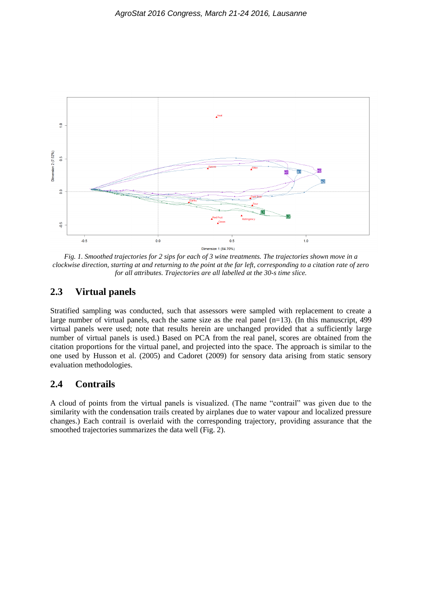

*Fig. 1. Smoothed trajectories for 2 sips for each of 3 wine treatments. The trajectories shown move in a clockwise direction, starting at and returning to the point at the far left, corresponding to a citation rate of zero for all attributes. Trajectories are all labelled at the 30-s time slice.* 

#### **2.3 Virtual panels**

Stratified sampling was conducted, such that assessors were sampled with replacement to create a large number of virtual panels, each the same size as the real panel (n=13). (In this manuscript, 499 virtual panels were used; note that results herein are unchanged provided that a sufficiently large number of virtual panels is used.) Based on PCA from the real panel, scores are obtained from the citation proportions for the virtual panel, and projected into the space. The approach is similar to the one used by Husson et al. (2005) and Cadoret (2009) for sensory data arising from static sensory evaluation methodologies.

#### **2.4 Contrails**

A cloud of points from the virtual panels is visualized. (The name "contrail" was given due to the similarity with the condensation trails created by airplanes due to water vapour and localized pressure changes.) Each contrail is overlaid with the corresponding trajectory, providing assurance that the smoothed trajectories summarizes the data well (Fig. 2).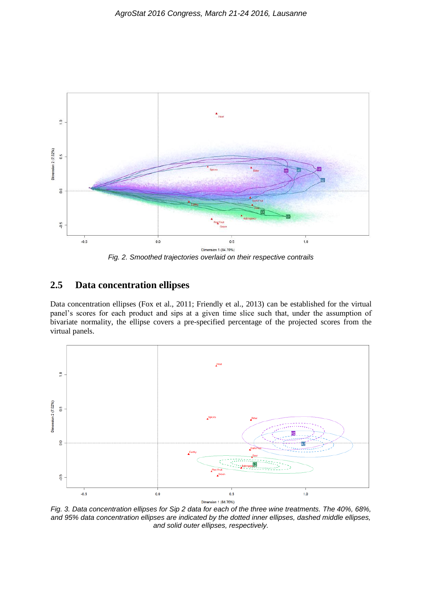

#### **2.5 Data concentration ellipses**

Data concentration ellipses (Fox et al., 2011; Friendly et al., 2013) can be established for the virtual panel's scores for each product and sips at a given time slice such that, under the assumption of bivariate normality, the ellipse covers a pre-specified percentage of the projected scores from the virtual panels.



*Fig. 3. Data concentration ellipses for Sip 2 data for each of the three wine treatments. The 40%, 68%, and 95% data concentration ellipses are indicated by the dotted inner ellipses, dashed middle ellipses, and solid outer ellipses, respectively.*